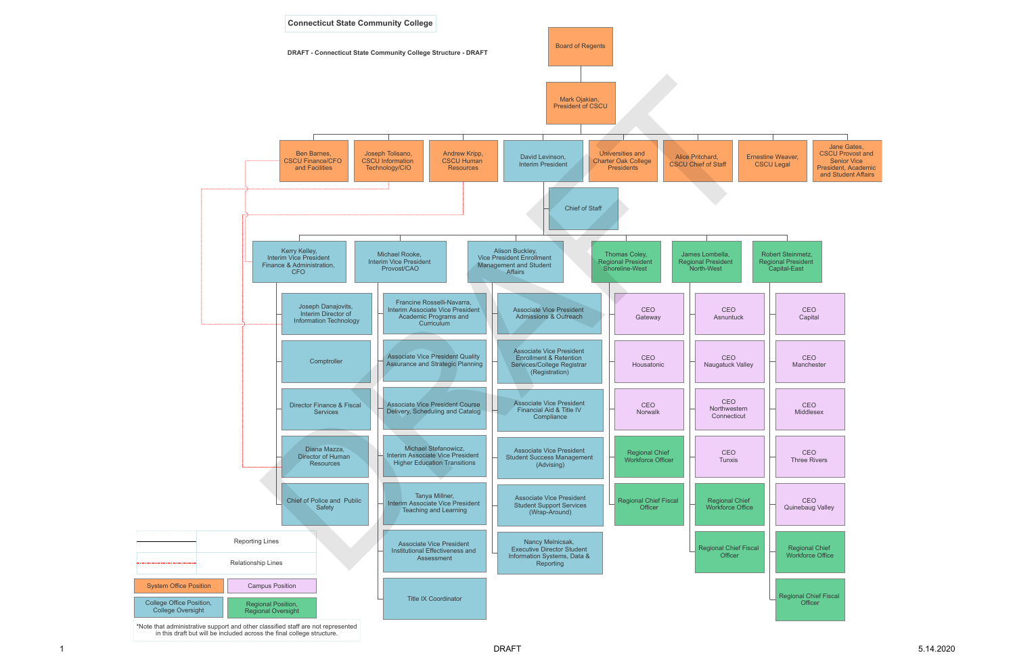

\*Note that administrative support and other classified staff are not represented in this draft but will be included across the final college structure.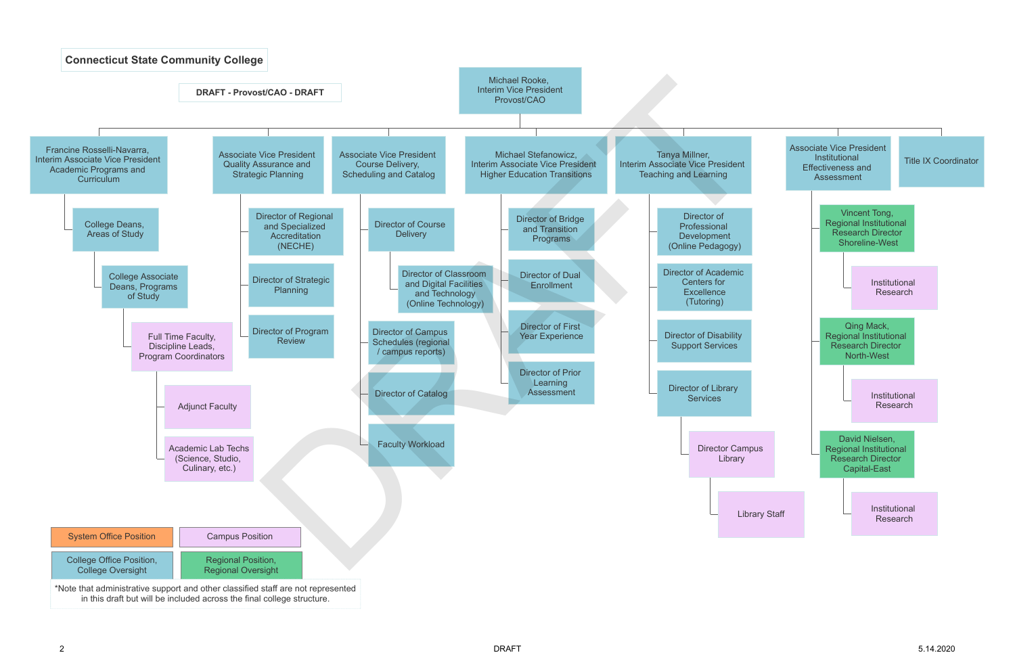

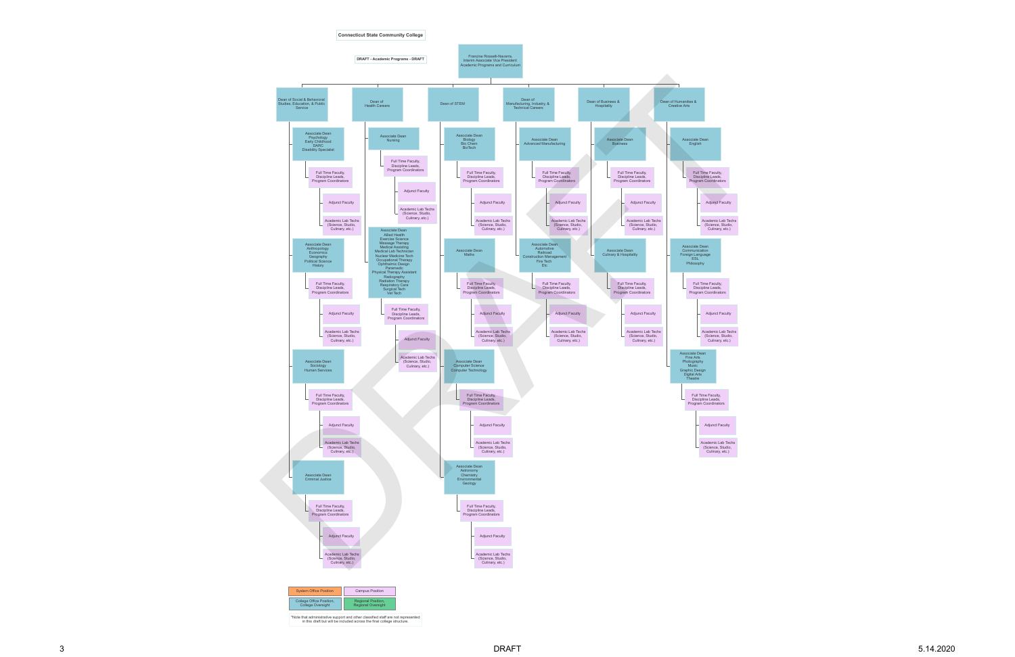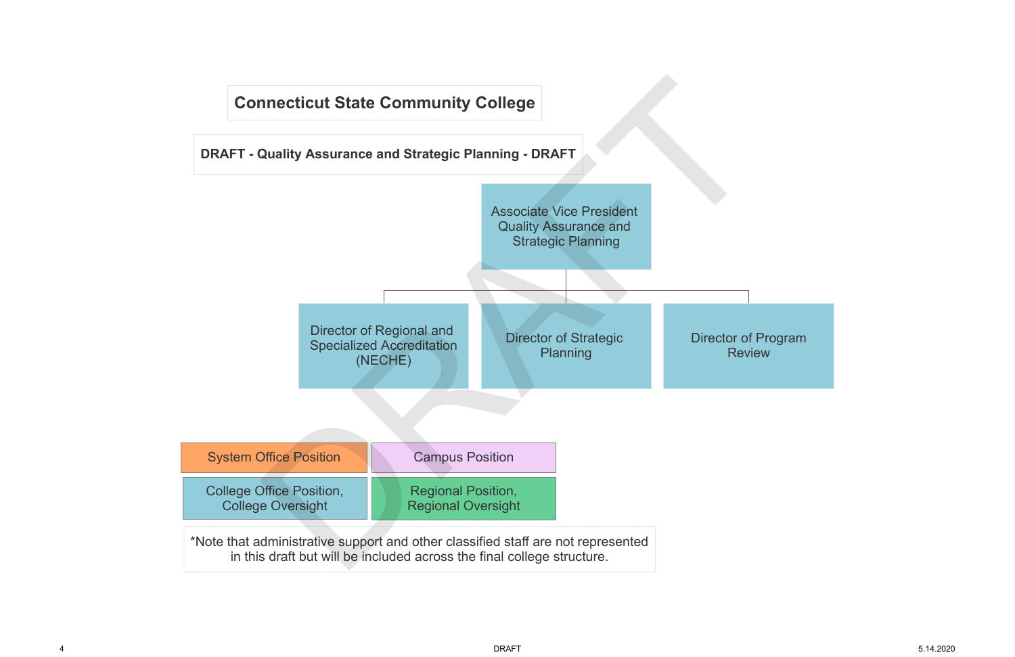Review

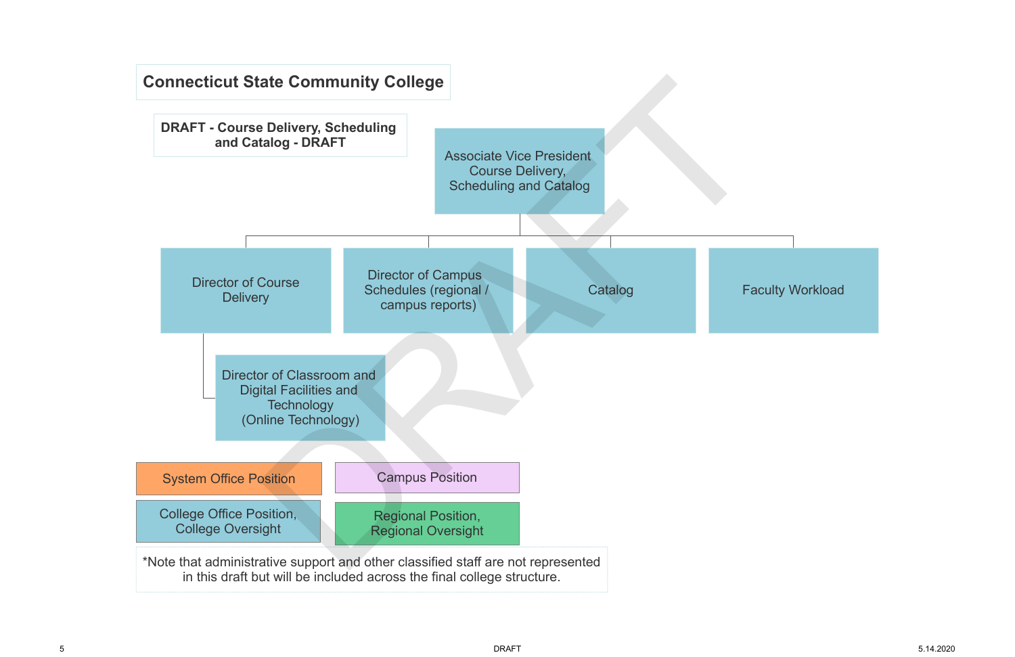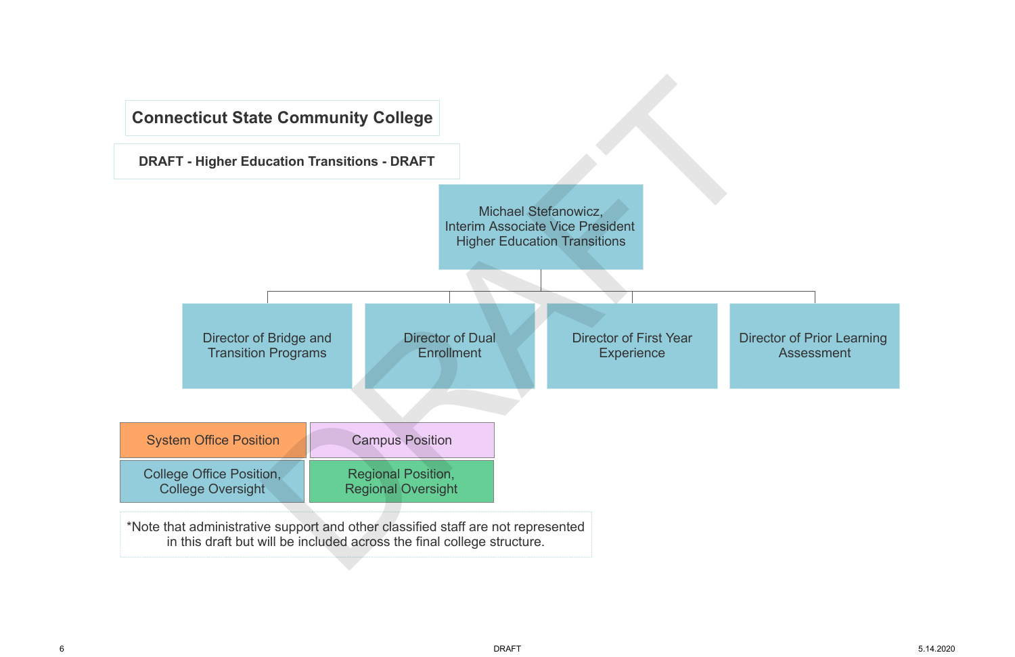Director of Prior Learning Assessment

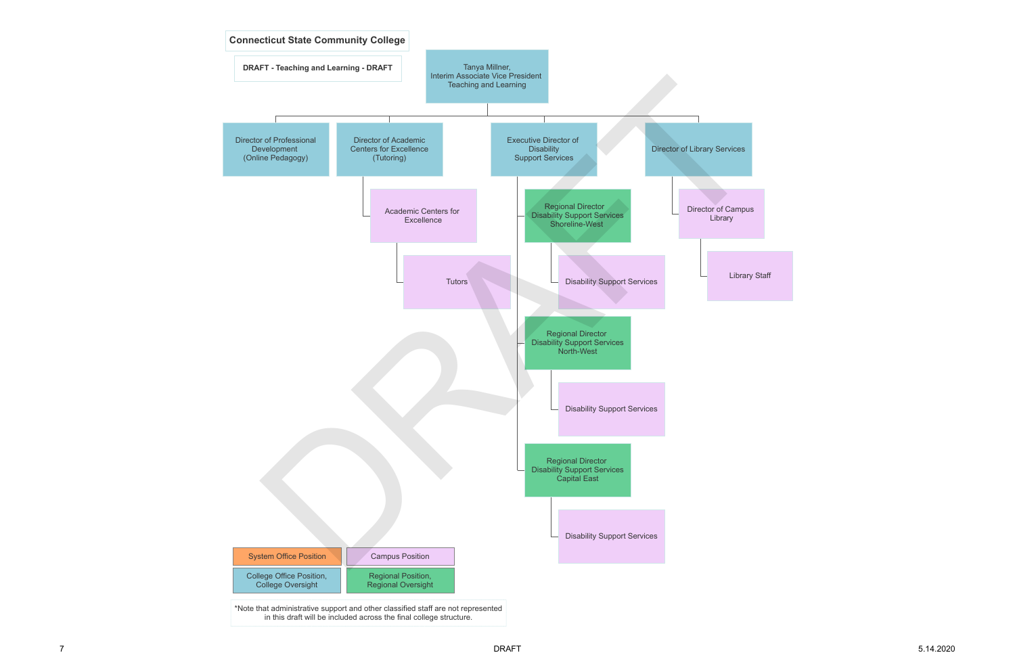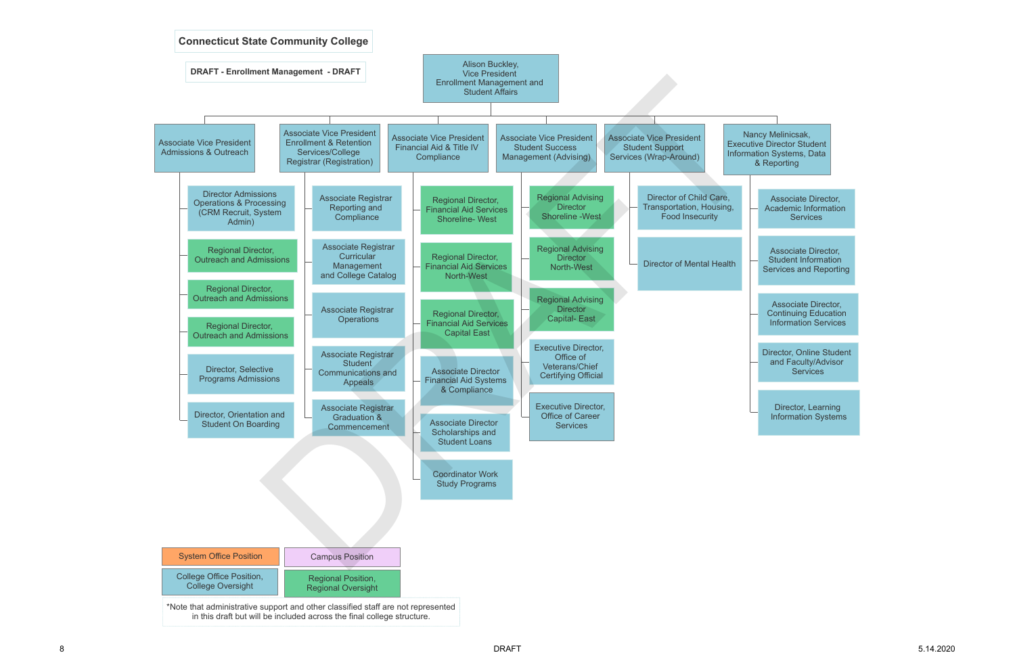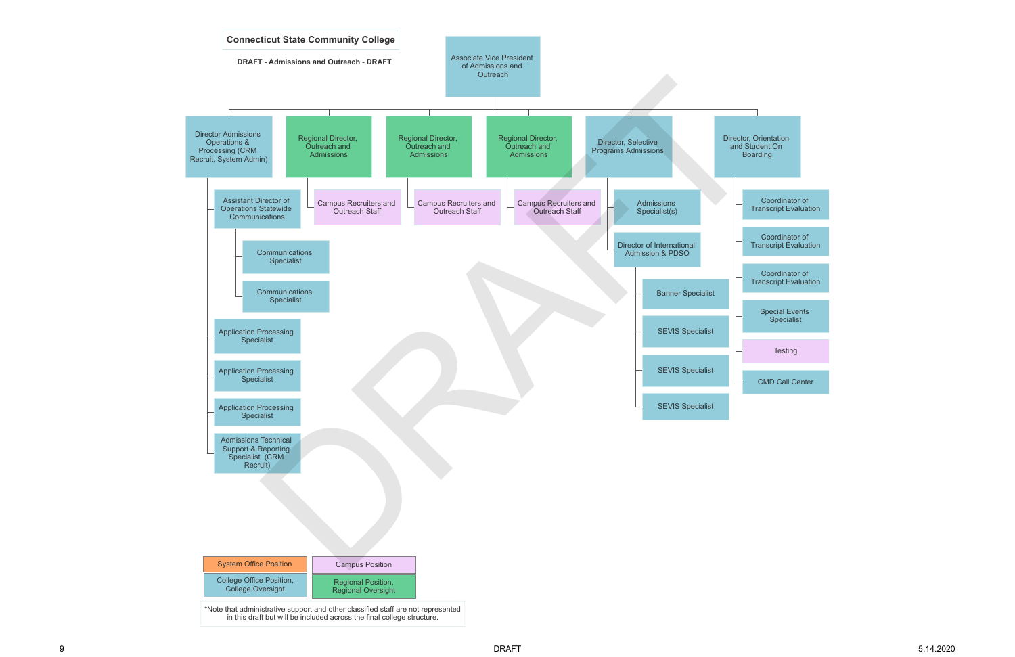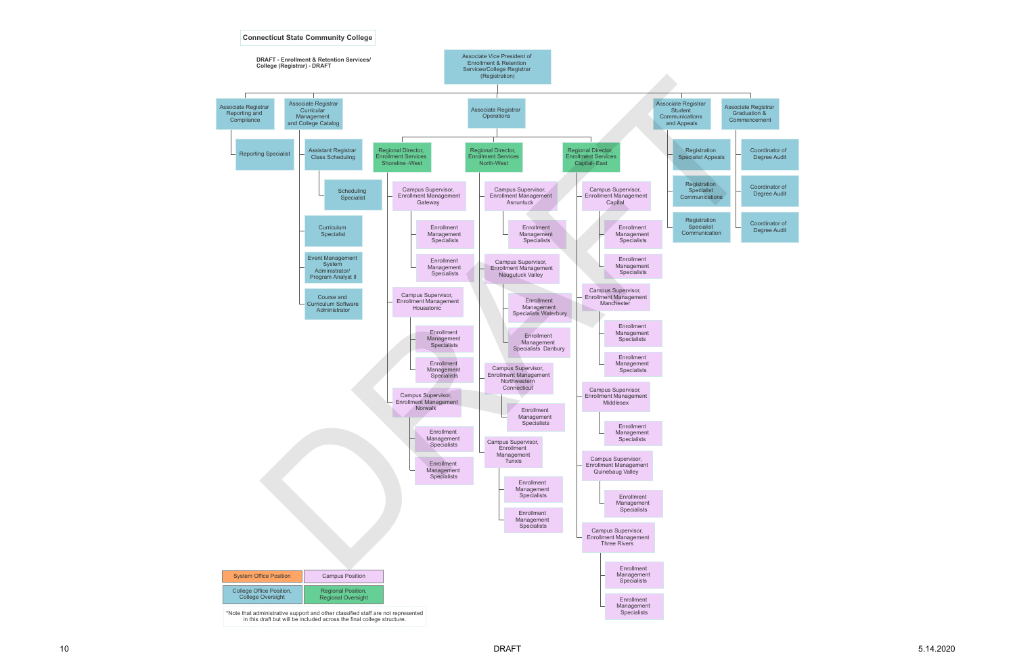

Coordinator of Degree Audit

Coordinator of Degree Audit

Coordinator of Degree Audit

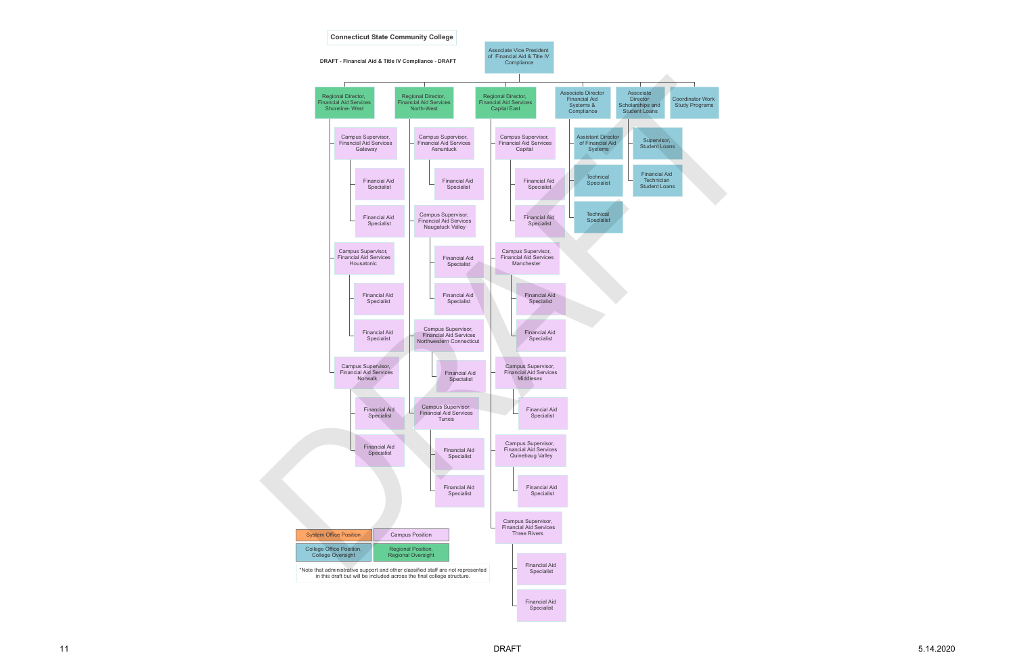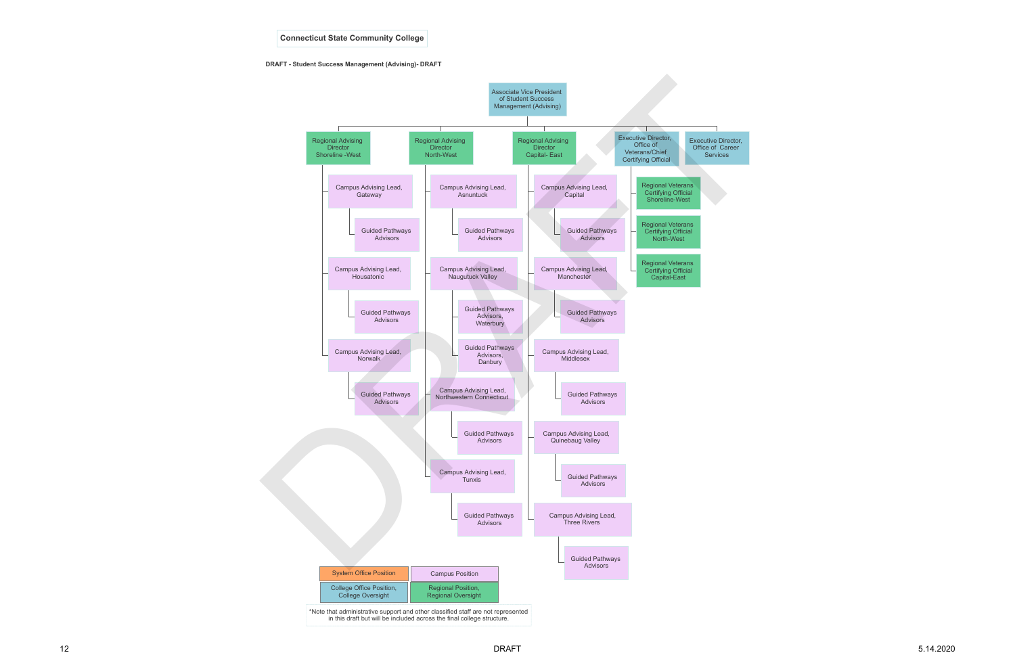

## **DRAFT - Student Success Management (Advising)- DRAFT**

**Connecticut State Community College**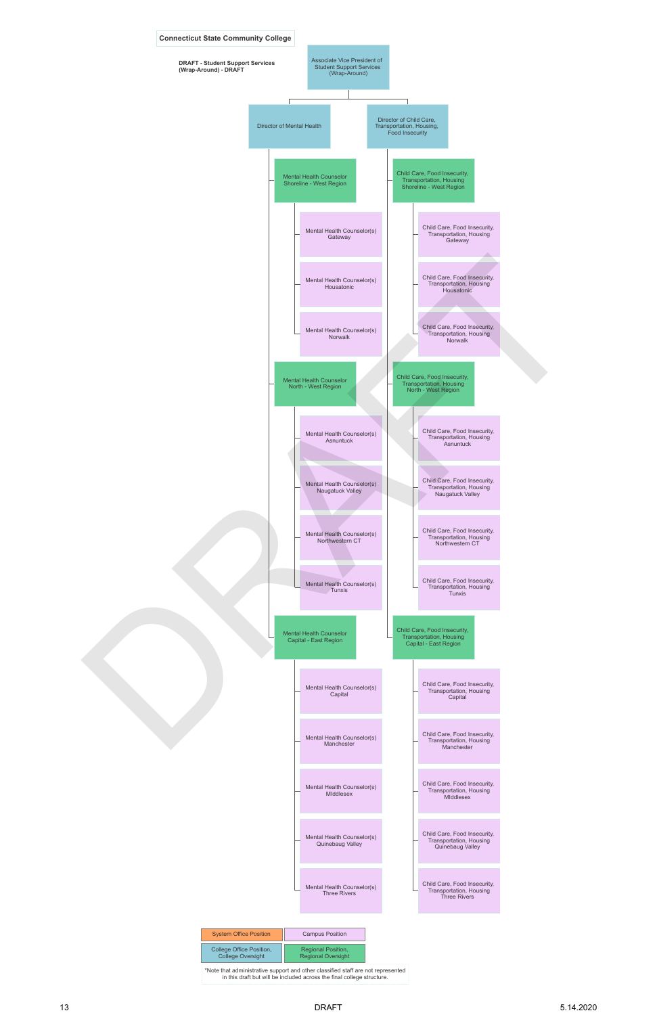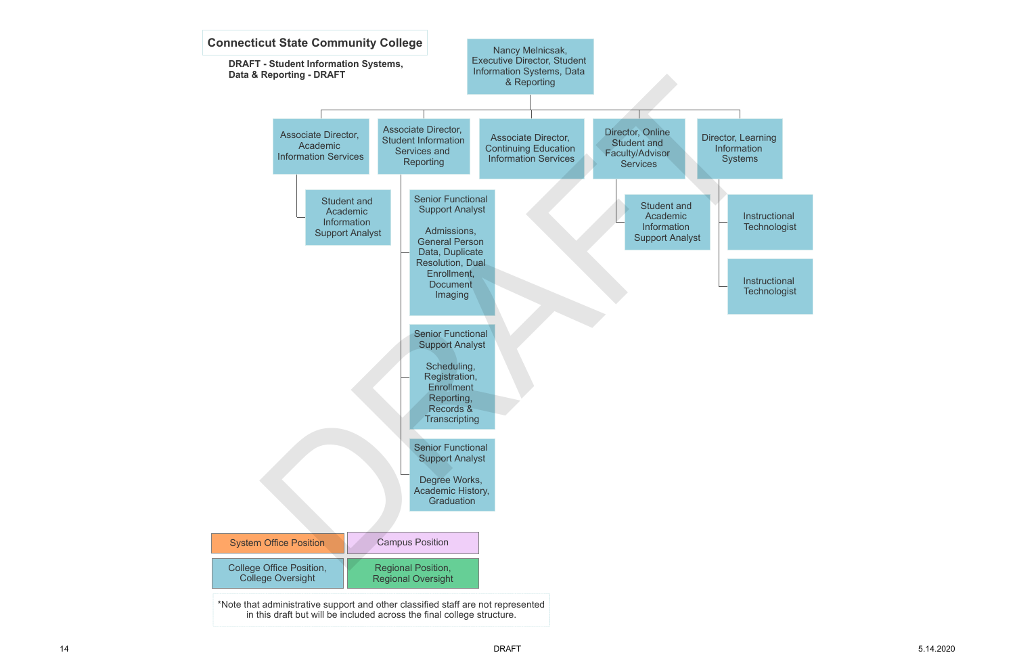Instructional **Technologist** 



**Instructional Technologist**